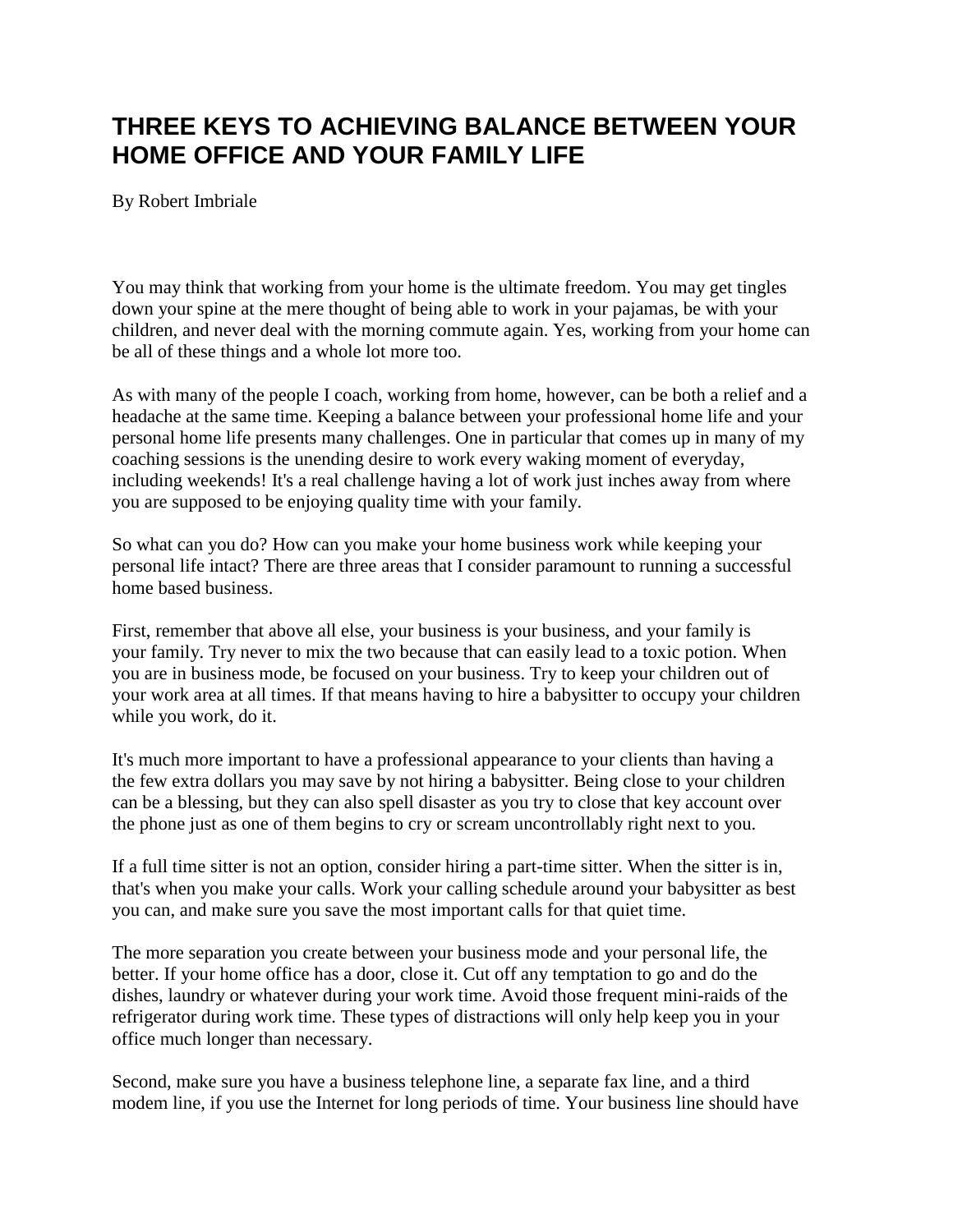## **THREE KEYS TO ACHIEVING BALANCE BETWEEN YOUR HOME OFFICE AND YOUR FAMILY LIFE**

By Robert Imbriale

You may think that working from your home is the ultimate freedom. You may get tingles down your spine at the mere thought of being able to work in your pajamas, be with your children, and never deal with the morning commute again. Yes, working from your home can be all of these things and a whole lot more too.

As with many of the people I coach, working from home, however, can be both a relief and a headache at the same time. Keeping a balance between your professional home life and your personal home life presents many challenges. One in particular that comes up in many of my coaching sessions is the unending desire to work every waking moment of everyday, including weekends! It's a real challenge having a lot of work just inches away from where you are supposed to be enjoying quality time with your family.

So what can you do? How can you make your home business work while keeping your personal life intact? There are three areas that I consider paramount to running a successful home based business.

First, remember that above all else, your business is your business, and your family is your family. Try never to mix the two because that can easily lead to a toxic potion. When you are in business mode, be focused on your business. Try to keep your children out of your work area at all times. If that means having to hire a babysitter to occupy your children while you work, do it.

It's much more important to have a professional appearance to your clients than having a the few extra dollars you may save by not hiring a babysitter. Being close to your children can be a blessing, but they can also spell disaster as you try to close that key account over the phone just as one of them begins to cry or scream uncontrollably right next to you.

If a full time sitter is not an option, consider hiring a part-time sitter. When the sitter is in, that's when you make your calls. Work your calling schedule around your babysitter as best you can, and make sure you save the most important calls for that quiet time.

The more separation you create between your business mode and your personal life, the better. If your home office has a door, close it. Cut off any temptation to go and do the dishes, laundry or whatever during your work time. Avoid those frequent mini-raids of the refrigerator during work time. These types of distractions will only help keep you in your office much longer than necessary.

Second, make sure you have a business telephone line, a separate fax line, and a third modem line, if you use the Internet for long periods of time. Your business line should have